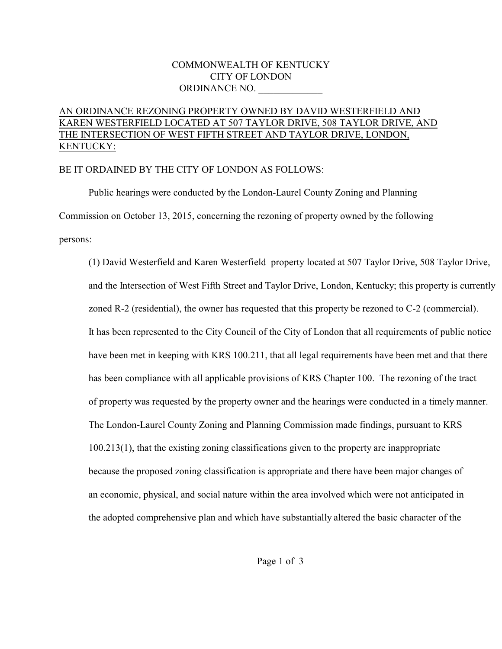#### COMMONWEALTH OF KENTUCKY CITY OF LONDON ORDINANCE NO.

## AN ORDINANCE REZONING PROPERTY OWNED BY DAVID WESTERFIELD AND KAREN WESTERFIELD LOCATED AT 507 TAYLOR DRIVE, 508 TAYLOR DRIVE, AND THE INTERSECTION OF WEST FIFTH STREET AND TAYLOR DRIVE, LONDON, KENTUCKY:

#### BE IT ORDAINED BY THE CITY OF LONDON AS FOLLOWS:

Public hearings were conducted by the London-Laurel County Zoning and Planning Commission on October 13, 2015, concerning the rezoning of property owned by the following persons:

(1) David Westerfield and Karen Westerfield property located at 507 Taylor Drive, 508 Taylor Drive, and the Intersection of West Fifth Street and Taylor Drive, London, Kentucky; this property is currently zoned R-2 (residential), the owner has requested that this property be rezoned to C-2 (commercial). It has been represented to the City Council of the City of London that all requirements of public notice have been met in keeping with KRS 100.211, that all legal requirements have been met and that there has been compliance with all applicable provisions of KRS Chapter 100. The rezoning of the tract of property was requested by the property owner and the hearings were conducted in a timely manner. The London-Laurel County Zoning and Planning Commission made findings, pursuant to KRS 100.213(1), that the existing zoning classifications given to the property are inappropriate because the proposed zoning classification is appropriate and there have been major changes of an economic, physical, and social nature within the area involved which were not anticipated in the adopted comprehensive plan and which have substantially altered the basic character of the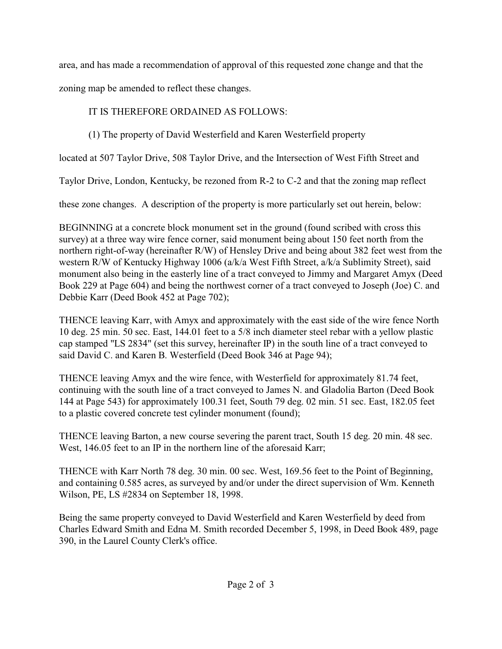area, and has made a recommendation of approval of this requested zone change and that the

zoning map be amended to reflect these changes.

# IT IS THEREFORE ORDAINED AS FOLLOWS:

# (1) The property of David Westerfield and Karen Westerfield property

located at 507 Taylor Drive, 508 Taylor Drive, and the Intersection of West Fifth Street and

Taylor Drive, London, Kentucky, be rezoned from R-2 to C-2 and that the zoning map reflect

these zone changes. A description of the property is more particularly set out herein, below:

BEGINNING at a concrete block monument set in the ground (found scribed with cross this survey) at a three way wire fence corner, said monument being about 150 feet north from the northern right-of-way (hereinafter R/W) of Hensley Drive and being about 382 feet west from the western R/W of Kentucky Highway 1006 (a/k/a West Fifth Street, a/k/a Sublimity Street), said monument also being in the easterly line of a tract conveyed to Jimmy and Margaret Amyx (Deed Book 229 at Page 604) and being the northwest corner of a tract conveyed to Joseph (Joe) C. and Debbie Karr (Deed Book 452 at Page 702);

THENCE leaving Karr, with Amyx and approximately with the east side of the wire fence North 10 deg. 25 min. 50 sec. East, 144.01 feet to a 5/8 inch diameter steel rebar with a yellow plastic cap stamped "LS 2834" (set this survey, hereinafter IP) in the south line of a tract conveyed to said David C. and Karen B. Westerfield (Deed Book 346 at Page 94);

THENCE leaving Amyx and the wire fence, with Westerfield for approximately 81.74 feet, continuing with the south line of a tract conveyed to James N. and Gladolia Barton (Deed Book 144 at Page 543) for approximately 100.31 feet, South 79 deg. 02 min. 51 sec. East, 182.05 feet to a plastic covered concrete test cylinder monument (found);

THENCE leaving Barton, a new course severing the parent tract, South 15 deg. 20 min. 48 sec. West, 146.05 feet to an IP in the northern line of the aforesaid Karr;

THENCE with Karr North 78 deg. 30 min. 00 sec. West, 169.56 feet to the Point of Beginning, and containing 0.585 acres, as surveyed by and/or under the direct supervision of Wm. Kenneth Wilson, PE, LS #2834 on September 18, 1998.

Being the same property conveyed to David Westerfield and Karen Westerfield by deed from Charles Edward Smith and Edna M. Smith recorded December 5, 1998, in Deed Book 489, page 390, in the Laurel County Clerk's office.